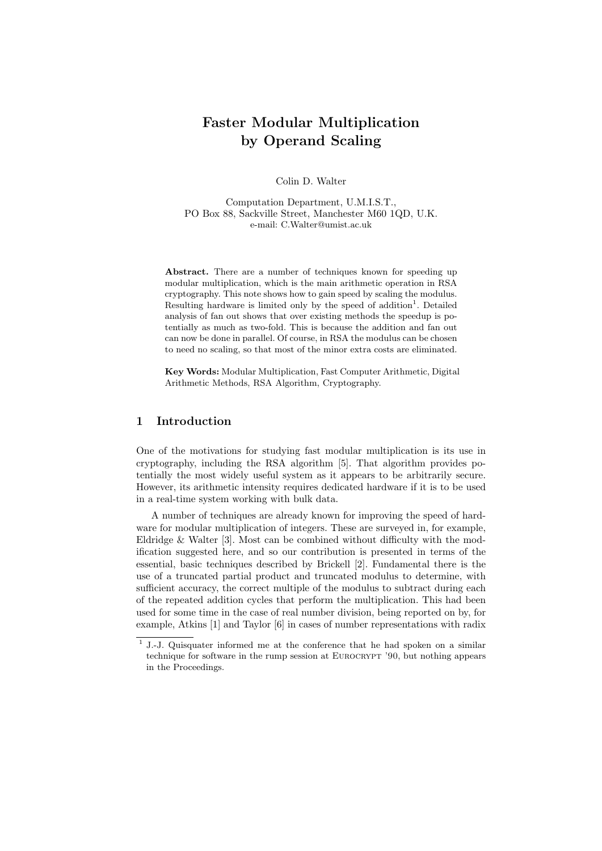# Faster Modular Multiplication by Operand Scaling

Colin D. Walter

Computation Department, U.M.I.S.T., PO Box 88, Sackville Street, Manchester M60 1QD, U.K. e-mail: C.Walter@umist.ac.uk

Abstract. There are a number of techniques known for speeding up modular multiplication, which is the main arithmetic operation in RSA cryptography. This note shows how to gain speed by scaling the modulus. Resulting hardware is limited only by the speed of addition<sup>1</sup>. Detailed analysis of fan out shows that over existing methods the speedup is potentially as much as two-fold. This is because the addition and fan out can now be done in parallel. Of course, in RSA the modulus can be chosen to need no scaling, so that most of the minor extra costs are eliminated.

Key Words: Modular Multiplication, Fast Computer Arithmetic, Digital Arithmetic Methods, RSA Algorithm, Cryptography.

## 1 Introduction

One of the motivations for studying fast modular multiplication is its use in cryptography, including the RSA algorithm [5]. That algorithm provides potentially the most widely useful system as it appears to be arbitrarily secure. However, its arithmetic intensity requires dedicated hardware if it is to be used in a real-time system working with bulk data.

A number of techniques are already known for improving the speed of hardware for modular multiplication of integers. These are surveyed in, for example, Eldridge & Walter [3]. Most can be combined without difficulty with the modification suggested here, and so our contribution is presented in terms of the essential, basic techniques described by Brickell [2]. Fundamental there is the use of a truncated partial product and truncated modulus to determine, with sufficient accuracy, the correct multiple of the modulus to subtract during each of the repeated addition cycles that perform the multiplication. This had been used for some time in the case of real number division, being reported on by, for example, Atkins [1] and Taylor [6] in cases of number representations with radix

<sup>&</sup>lt;sup>1</sup> J.-J. Quisquater informed me at the conference that he had spoken on a similar technique for software in the rump session at EUROCRYPT '90, but nothing appears in the Proceedings.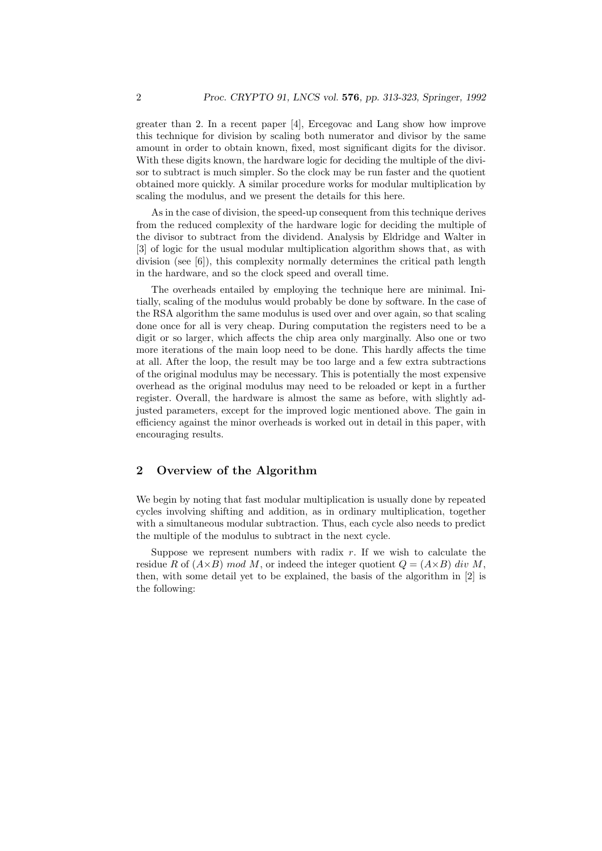greater than 2. In a recent paper [4], Ercegovac and Lang show how improve this technique for division by scaling both numerator and divisor by the same amount in order to obtain known, fixed, most significant digits for the divisor. With these digits known, the hardware logic for deciding the multiple of the divisor to subtract is much simpler. So the clock may be run faster and the quotient obtained more quickly. A similar procedure works for modular multiplication by scaling the modulus, and we present the details for this here.

As in the case of division, the speed-up consequent from this technique derives from the reduced complexity of the hardware logic for deciding the multiple of the divisor to subtract from the dividend. Analysis by Eldridge and Walter in [3] of logic for the usual modular multiplication algorithm shows that, as with division (see [6]), this complexity normally determines the critical path length in the hardware, and so the clock speed and overall time.

The overheads entailed by employing the technique here are minimal. Initially, scaling of the modulus would probably be done by software. In the case of the RSA algorithm the same modulus is used over and over again, so that scaling done once for all is very cheap. During computation the registers need to be a digit or so larger, which affects the chip area only marginally. Also one or two more iterations of the main loop need to be done. This hardly affects the time at all. After the loop, the result may be too large and a few extra subtractions of the original modulus may be necessary. This is potentially the most expensive overhead as the original modulus may need to be reloaded or kept in a further register. Overall, the hardware is almost the same as before, with slightly adjusted parameters, except for the improved logic mentioned above. The gain in efficiency against the minor overheads is worked out in detail in this paper, with encouraging results.

### 2 Overview of the Algorithm

We begin by noting that fast modular multiplication is usually done by repeated cycles involving shifting and addition, as in ordinary multiplication, together with a simultaneous modular subtraction. Thus, each cycle also needs to predict the multiple of the modulus to subtract in the next cycle.

Suppose we represent numbers with radix  $r$ . If we wish to calculate the residue R of  $(A\times B)$  mod M, or indeed the integer quotient  $Q = (A\times B)$  div M, then, with some detail yet to be explained, the basis of the algorithm in [2] is the following: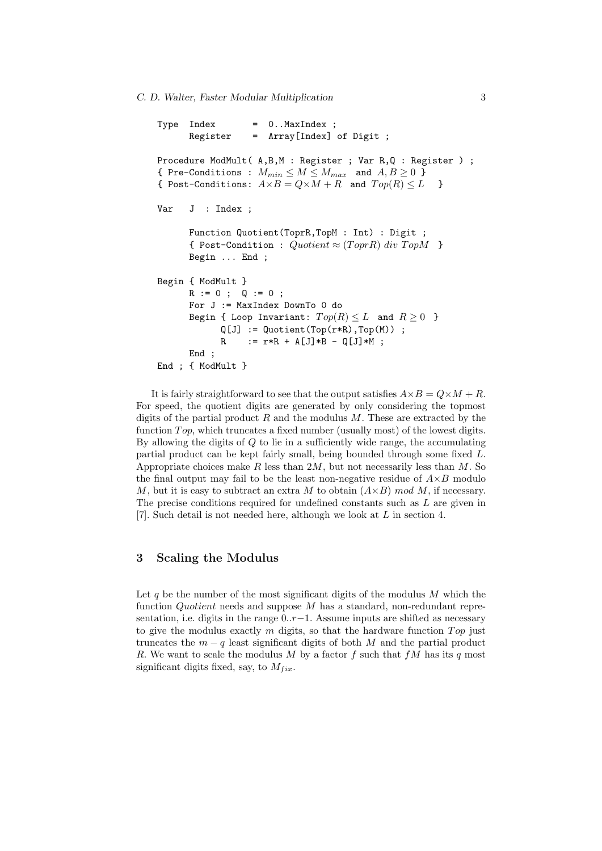```
Type Index = 0..MaxIndex ;
      Register = Array[Index] of Digit ;
Procedure ModMult( A,B,M : Register ; Var R,Q : Register ) ;
{ Pre-Conditions : M_{min} \leq M \leq M_{max} and A, B \geq 0 }
{ Post-Conditions: A \times B = Q \times M + R and Top(R) \leq L }
Var J : Index ;
      Function Quotient(ToprR,TopM : Int) : Digit ;
      { Post-Condition : Quotient \approx (ToprR) \ div TopM }
      Begin ... End ;
Begin { ModMult }
      R := 0 ; Q := 0 ;
      For J := MaxIndex DownTo 0 do
      Begin { Loop Invariant: Top(R) \leq L and R \geq 0 }
            Q[J] := Quotient(Top(r*B),Top(M));
            R := r * R + A[J] * B - Q[J] * M ;End ;
End ; { ModMult }
```
It is fairly straightforward to see that the output satisfies  $A \times B = Q \times M + R$ . For speed, the quotient digits are generated by only considering the topmost digits of the partial product  $R$  and the modulus  $M$ . These are extracted by the function  $Top$ , which truncates a fixed number (usually most) of the lowest digits. By allowing the digits of  $Q$  to lie in a sufficiently wide range, the accumulating partial product can be kept fairly small, being bounded through some fixed L. Appropriate choices make  $R$  less than  $2M$ , but not necessarily less than  $M$ . So the final output may fail to be the least non-negative residue of  $A \times B$  modulo M, but it is easy to subtract an extra M to obtain  $(A \times B)$  mod M, if necessary. The precise conditions required for undefined constants such as  $L$  are given in [7]. Such detail is not needed here, although we look at L in section 4.

## 3 Scaling the Modulus

Let q be the number of the most significant digits of the modulus  $M$  which the function Quotient needs and suppose M has a standard, non-redundant representation, i.e. digits in the range  $0..r-1$ . Assume inputs are shifted as necessary to give the modulus exactly  $m$  digits, so that the hardware function  $Top$  just truncates the  $m - q$  least significant digits of both M and the partial product R. We want to scale the modulus M by a factor f such that  $fM$  has its q most significant digits fixed, say, to  $M_{fix}$ .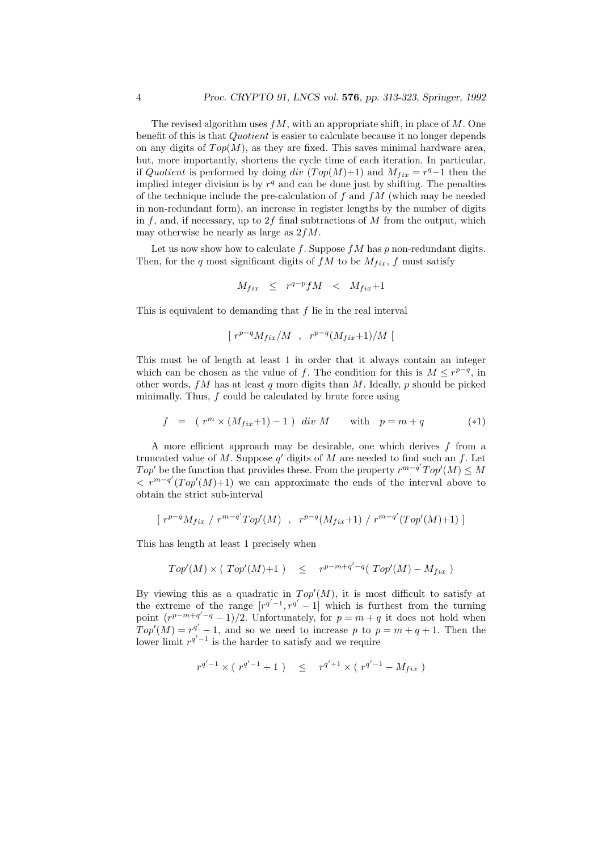The revised algorithm uses  $fM$ , with an appropriate shift, in place of M. One benefit of this is that Quotient is easier to calculate because it no longer depends on any digits of  $Top(M)$ , as they are fixed. This saves minimal hardware area, but, more importantly, shortens the cycle time of each iteration. In particular, if *Quotient* is performed by doing  $div (Top(M)+1)$  and  $M_{fix} = r^q - 1$  then the implied integer division is by  $r<sup>q</sup>$  and can be done just by shifting. The penalties of the technique include the pre-calculation of  $f$  and  $fM$  (which may be needed in non-redundant form), an increase in register lengths by the number of digits in f, and, if necessary, up to  $2f$  final subtractions of M from the output, which may otherwise be nearly as large as  $2fM$ .

Let us now show how to calculate  $f$ . Suppose  $fM$  has p non-redundant digits. Then, for the q most significant digits of  $fM$  to be  $M_{fix}$ , f must satisfy

$$
M_{fix} \leq r^{q-p} f M \ < M_{fix} + 1
$$

This is equivalent to demanding that  $f$  lie in the real interval

$$
[r^{p-q}M_{fix}/M , r^{p-q}(M_{fix}+1)/M ]
$$

This must be of length at least 1 in order that it always contain an integer which can be chosen as the value of f. The condition for this is  $M \leq r^{p-q}$ , in other words,  $fM$  has at least q more digits than M. Ideally, p should be picked minimally. Thus,  $f$  could be calculated by brute force using

$$
f = (r^m \times (M_{fix}+1) - 1) \quad \text{div } M \qquad \text{with } p = m + q \qquad (*)
$$

A more efficient approach may be desirable, one which derives  $f$  from a truncated value of M. Suppose  $q'$  digits of M are needed to find such an f. Let Top' be the function that provides these. From the property  $r^{m-q'}Top'(M) \leq M$  $\langle r^{m-q'}(Top'(M)+1) \rangle$  we can approximate the ends of the interval above to obtain the strict sub-interval

$$
[r^{p-q} M_{fix} / r^{m-q'} Top'(M) , r^{p-q} (M_{fix}+1) / r^{m-q'} (Top'(M)+1)]
$$

This has length at least 1 precisely when

$$
Top'(M) \times (Top'(M)+1) \leq r^{p-m+q'-q} (Top'(M)-M_{fix})
$$

By viewing this as a quadratic in  $Top'(M)$ , it is most difficult to satisfy at the extreme of the range  $[r^{q'-1}, r^{q'}-1]$  which is furthest from the turning point  $(r^{p-m+q'-q}-1)/2$ . Unfortunately, for  $p=m+q$  it does not hold when  $Top'(M) = r^{q'} - 1$ , and so we need to increase p to  $p = m + q + 1$ . Then the lower limit  $r^{q'-1}$  is the harder to satisfy and we require

$$
r^{q'-1} \times (r^{q'-1} + 1) \leq r^{q'+1} \times (r^{q'-1} - M_{fix})
$$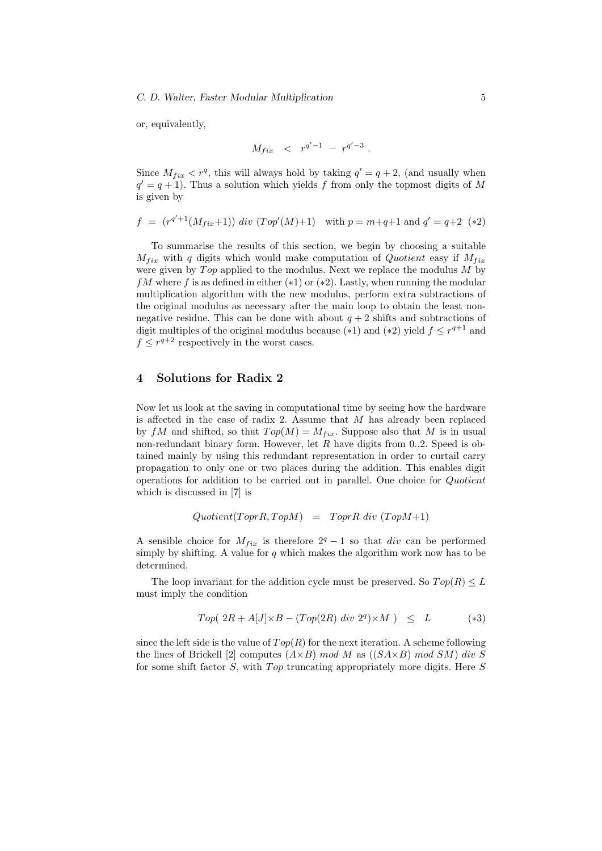or, equivalently,

$$
M_{fix} \ < \ r^{q'-1} \ - \ r^{q'-3}
$$

.

Since  $M_{fix} < r^q$ , this will always hold by taking  $q' = q + 2$ , (and usually when  $q' = q + 1$ ). Thus a solution which yields f from only the topmost digits of M is given by

$$
f = (r^{q'+1}(M_{fix}+1)) \ div (Top'(M)+1)
$$
 with  $p = m+q+1$  and  $q' = q+2$  (\*)

To summarise the results of this section, we begin by choosing a suitable  $M_{fix}$  with q digits which would make computation of Quotient easy if  $M_{fix}$ were given by  $Top$  applied to the modulus. Next we replace the modulus  $M$  by  $fM$  where f is as defined in either  $(*1)$  or  $(*2)$ . Lastly, when running the modular multiplication algorithm with the new modulus, perform extra subtractions of the original modulus as necessary after the main loop to obtain the least nonnegative residue. This can be done with about  $q + 2$  shifts and subtractions of digit multiples of the original modulus because (\*1) and (\*2) yield  $f \n\leq r^{q+1}$  and  $f \leq r^{q+2}$  respectively in the worst cases.

#### 4 Solutions for Radix 2

Now let us look at the saving in computational time by seeing how the hardware is affected in the case of radix 2. Assume that  $M$  has already been replaced by  $fM$  and shifted, so that  $Top(M) = M_{fix}$ . Suppose also that M is in usual non-redundant binary form. However, let  $R$  have digits from 0..2. Speed is obtained mainly by using this redundant representation in order to curtail carry propagation to only one or two places during the addition. This enables digit operations for addition to be carried out in parallel. One choice for Quotient which is discussed in [7] is

$$
Quotient(ToprR, TopM) = ToprR \ div (TopM+1)
$$

A sensible choice for  $M_{fix}$  is therefore  $2^q - 1$  so that div can be performed simply by shifting. A value for  $q$  which makes the algorithm work now has to be determined.

The loop invariant for the addition cycle must be preserved. So  $Top(R) \leq L$ must imply the condition

$$
Top(2R + A[J] \times B - (Top(2R) \ div 2^q) \times M) \leq L
$$
 (\*)

since the left side is the value of  $Top(R)$  for the next iteration. A scheme following the lines of Brickell [2] computes  $(A \times B)$  mod M as  $((S A \times B)$  mod SM) div S for some shift factor  $S$ , with  $Top$  truncating appropriately more digits. Here  $S$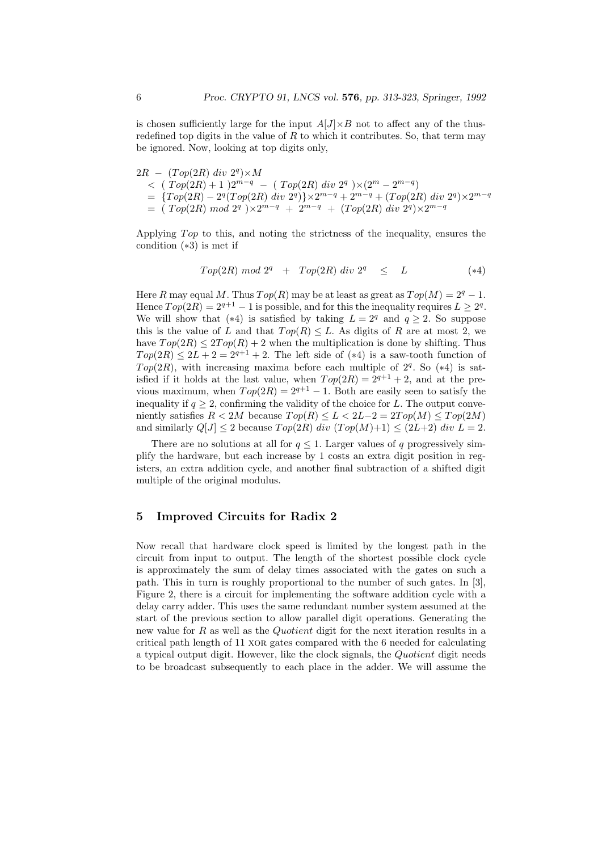is chosen sufficiently large for the input  $A[J] \times B$  not to affect any of the thusredefined top digits in the value of  $R$  to which it contributes. So, that term may be ignored. Now, looking at top digits only,

$$
2R - (Top(2R) \ div 2^{q}) \times M
$$
  
\n
$$
< (Top(2R) + 1)2^{m-q} - (Top(2R) \ div 2^{q}) \times (2^{m} - 2^{m-q})
$$
  
\n
$$
= {Top(2R) - 2^{q} (Top(2R) \ div 2^{q})} \times 2^{m-q} + 2^{m-q} + (Top(2R) \ div 2^{q}) \times 2^{m-q}
$$
  
\n
$$
= (Top(2R) \ mod 2^{q}) \times 2^{m-q} + 2^{m-q} + (Top(2R) \ div 2^{q}) \times 2^{m-q}
$$

Applying  $Top$  to this, and noting the strictness of the inequality, ensures the condition (∗3) is met if

$$
Top(2R) \mod 2^q \quad + \quad Top(2R) \dim 2^q \quad \leq \quad L \tag{44}
$$

Here R may equal M. Thus  $Top(R)$  may be at least as great as  $Top(M) = 2<sup>q</sup> - 1$ . Hence  $Top(2R) = 2^{q+1} - 1$  is possible, and for this the inequality requires  $L \geq 2^q$ . We will show that (\*4) is satisfied by taking  $L = 2<sup>q</sup>$  and  $q \ge 2$ . So suppose this is the value of L and that  $Top(R) \leq L$ . As digits of R are at most 2, we have  $Top(2R) \leq 2Top(R) + 2$  when the multiplication is done by shifting. Thus  $Top(2R) \leq 2L + 2 = 2^{q+1} + 2$ . The left side of (\*4) is a saw-tooth function of  $Top(2R)$ , with increasing maxima before each multiple of  $2<sup>q</sup>$ . So (\*4) is satisfied if it holds at the last value, when  $Top(2R) = 2^{q+1} + 2$ , and at the previous maximum, when  $Top(2R) = 2^{q+1} - 1$ . Both are easily seen to satisfy the inequality if  $q \geq 2$ , confirming the validity of the choice for L. The output conveniently satisfies  $R < 2M$  because  $Top(R) \le L < 2L-2 = 2Top(M) \le Top(2M)$ and similarly  $Q[J] \leq 2$  because  $Top(2R)$  div  $(Top(M)+1) \leq (2L+2)$  div  $L=2$ .

There are no solutions at all for  $q \leq 1$ . Larger values of q progressively simplify the hardware, but each increase by 1 costs an extra digit position in registers, an extra addition cycle, and another final subtraction of a shifted digit multiple of the original modulus.

## 5 Improved Circuits for Radix 2

Now recall that hardware clock speed is limited by the longest path in the circuit from input to output. The length of the shortest possible clock cycle is approximately the sum of delay times associated with the gates on such a path. This in turn is roughly proportional to the number of such gates. In [3], Figure 2, there is a circuit for implementing the software addition cycle with a delay carry adder. This uses the same redundant number system assumed at the start of the previous section to allow parallel digit operations. Generating the new value for  $R$  as well as the  $Quotient$  digit for the next iteration results in a critical path length of 11 xor gates compared with the 6 needed for calculating a typical output digit. However, like the clock signals, the Quotient digit needs to be broadcast subsequently to each place in the adder. We will assume the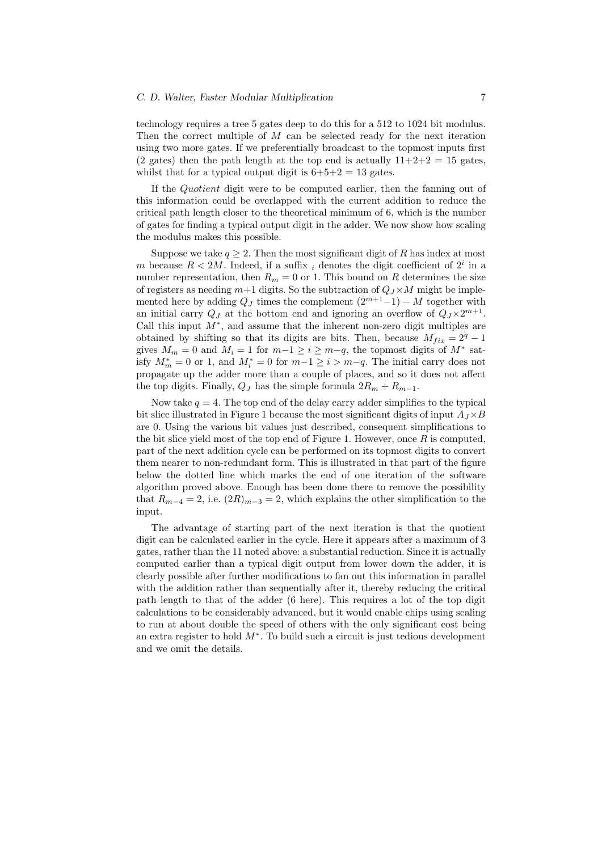#### C. D. Walter, Faster Modular Multiplication 7

technology requires a tree 5 gates deep to do this for a 512 to 1024 bit modulus. Then the correct multiple of  $M$  can be selected ready for the next iteration using two more gates. If we preferentially broadcast to the topmost inputs first (2 gates) then the path length at the top end is actually  $11+2+2=15$  gates, whilst that for a typical output digit is  $6+5+2=13$  gates.

If the Quotient digit were to be computed earlier, then the fanning out of this information could be overlapped with the current addition to reduce the critical path length closer to the theoretical minimum of 6, which is the number of gates for finding a typical output digit in the adder. We now show how scaling the modulus makes this possible.

Suppose we take  $q \geq 2$ . Then the most significant digit of R has index at most m because  $R < 2M$ . Indeed, if a suffix *i* denotes the digit coefficient of  $2<sup>i</sup>$  in a number representation, then  $R_m = 0$  or 1. This bound on R determines the size of registers as needing  $m+1$  digits. So the subtraction of  $Q_J\times M$  might be implemented here by adding  $Q_J$  times the complement  $(2^{m+1}-1) - M$  together with an initial carry  $Q_J$  at the bottom end and ignoring an overflow of  $Q_J \times 2^{m+1}$ . Call this input  $M^*$ , and assume that the inherent non-zero digit multiples are obtained by shifting so that its digits are bits. Then, because  $M_{fix} = 2^q - 1$ gives  $M_m = 0$  and  $M_i = 1$  for  $m-1 \geq i \geq m-q$ , the topmost digits of  $M^*$  satisfy  $M_m^* = 0$  or 1, and  $M_i^* = 0$  for  $m-1 \geq i > m-q$ . The initial carry does not propagate up the adder more than a couple of places, and so it does not affect the top digits. Finally,  $Q_J$  has the simple formula  $2R_m + R_{m-1}$ .

Now take  $q = 4$ . The top end of the delay carry adder simplifies to the typical bit slice illustrated in Figure 1 because the most significant digits of input  $A_J \times B$ are 0. Using the various bit values just described, consequent simplifications to the bit slice yield most of the top end of Figure 1. However, once  $R$  is computed, part of the next addition cycle can be performed on its topmost digits to convert them nearer to non-redundant form. This is illustrated in that part of the figure below the dotted line which marks the end of one iteration of the software algorithm proved above. Enough has been done there to remove the possibility that  $R_{m-4} = 2$ , i.e.  $(2R)_{m-3} = 2$ , which explains the other simplification to the input.

The advantage of starting part of the next iteration is that the quotient digit can be calculated earlier in the cycle. Here it appears after a maximum of 3 gates, rather than the 11 noted above: a substantial reduction. Since it is actually computed earlier than a typical digit output from lower down the adder, it is clearly possible after further modifications to fan out this information in parallel with the addition rather than sequentially after it, thereby reducing the critical path length to that of the adder (6 here). This requires a lot of the top digit calculations to be considerably advanced, but it would enable chips using scaling to run at about double the speed of others with the only significant cost being an extra register to hold M<sup>∗</sup> . To build such a circuit is just tedious development and we omit the details.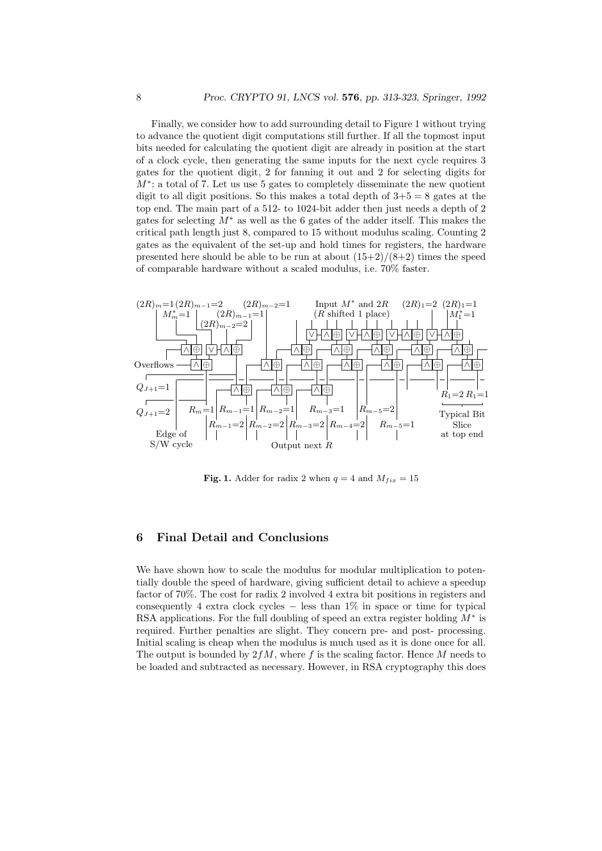Finally, we consider how to add surrounding detail to Figure 1 without trying to advance the quotient digit computations still further. If all the topmost input bits needed for calculating the quotient digit are already in position at the start of a clock cycle, then generating the same inputs for the next cycle requires 3 gates for the quotient digit, 2 for fanning it out and 2 for selecting digits for M<sup>∗</sup>: a total of 7. Let us use 5 gates to completely disseminate the new quotient digit to all digit positions. So this makes a total depth of  $3+5=8$  gates at the top end. The main part of a 512- to 1024-bit adder then just needs a depth of 2 gates for selecting  $M^*$  as well as the 6 gates of the adder itself. This makes the critical path length just 8, compared to 15 without modulus scaling. Counting 2 gates as the equivalent of the set-up and hold times for registers, the hardware presented here should be able to be run at about  $(15+2)/(8+2)$  times the speed of comparable hardware without a scaled modulus, i.e. 70% faster.



Fig. 1. Adder for radix 2 when  $q = 4$  and  $M_{fix} = 15$ 

## 6 Final Detail and Conclusions

We have shown how to scale the modulus for modular multiplication to potentially double the speed of hardware, giving sufficient detail to achieve a speedup factor of 70%. The cost for radix 2 involved 4 extra bit positions in registers and consequently 4 extra clock cycles − less than 1% in space or time for typical RSA applications. For the full doubling of speed an extra register holding  $M^*$  is required. Further penalties are slight. They concern pre- and post- processing. Initial scaling is cheap when the modulus is much used as it is done once for all. The output is bounded by  $2fM$ , where f is the scaling factor. Hence M needs to be loaded and subtracted as necessary. However, in RSA cryptography this does